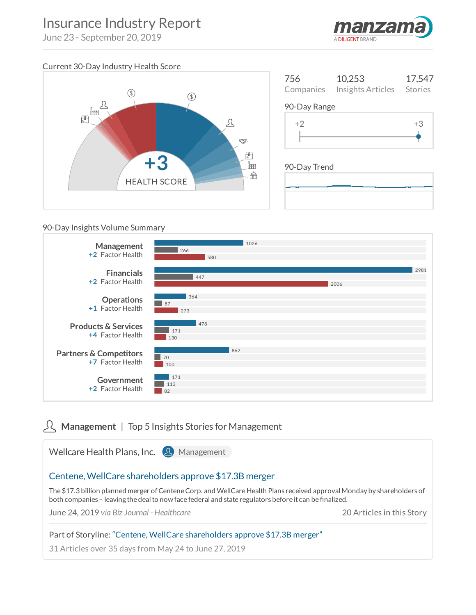# Insurance Industry Report

June 23 - September 20, 2019



# Current 30-Day Industry Health Score



| 756          | 10,253<br>Companies Insights Articles Stories | 17,547 |  |  |
|--------------|-----------------------------------------------|--------|--|--|
| 90-Day Range |                                               |        |  |  |
| $+2$         |                                               | $+3$   |  |  |
|              |                                               |        |  |  |

# 90-Day Trend

#### 90-Day Insights Volume Summary



# **R** Management | Top 5 Insights Stories for Management

Wellcare Health Plans, Inc. 8 Management [Centene,WellCare](https://client.manzama.com/article/v/25504701879/159019?usrc=signals_view) shareholders approve \$17.3B merger The \$17.3 billion planned merger of Centene Corp. and WellCare Health Plans received approval Monday by shareholders of both companies - leaving the deal to now face federal and state regulators before it can be finalized. June 24, 2019 *via Biz Journal - Healthcare* 20 Articles in this Story Part of Storyline: "Centene, WellCare [shareholders](https://insights.manzama.com/storylines/12102213/) approve \$17.3B merger" 31 Articles over 35 days from May 24 to June 27, 2019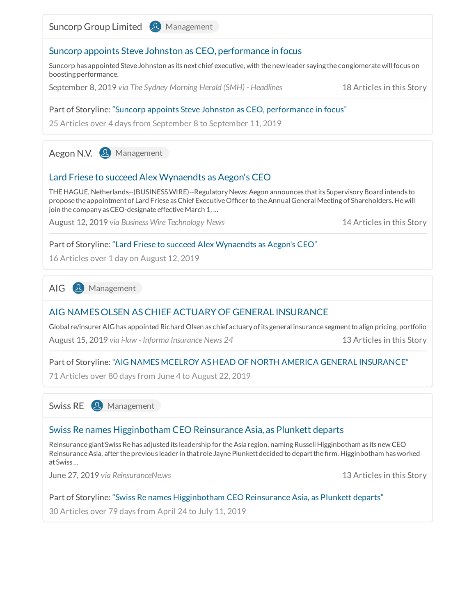Suncorp Group Limited **&** Management



Suncorp has appointed Steve Johnston as its next chief executive, with the newleader saying the conglomeratewillfocus on boosting performance.

September 8, 2019 *via The Sydney Morning Herald (SMH) - Headlines* 18 Articles in this Story

#### Part of Storyline: "Suncorp appoints Steve Johnston as CEO, [performance](https://insights.manzama.com/storylines/12612618/) in focus"

25 Articles over 4 days from September 8 to September 11, 2019

Aegon N.V. **2** Management

# Lard Friese to succeed Alex [Wynaendts](https://client.manzama.com/article/v/25528889242/159019?usrc=signals_view) as Aegon's CEO

THE HAGUE, Netherlands--(BUSINESS WIRE)--Regulatory News: Aegon announces that its Supervisory Board intends to propose the appointment of Lard Friese as Chief Executive Officer to the Annual General Meeting of Shareholders. He will join the company as CEO-designate effective March 1, ...

August 12, 2019 *via Business Wire Technology News* 14 Articles in this Story

#### Part of Storyline: "Lard Friese to succeed Alex [Wynaendts](https://insights.manzama.com/storylines/12469505/) as Aegon's CEO"

16 Articles over 1 day on August 12, 2019

AIG **A** Management

# AIG [NAMESOLSEN](https://client.manzama.com/article/v/25530832391/159019?usrc=signals_view) ASCHIEF ACTUARY OF GENERAL INSURANCE

Global re/insurer AIG has appointed Richard Olsen as chief actuary ofits general insurance segmentto align pricing, portfolio August 15, 2019 *via i-law - Informa Insurance News 24* 13 Articles in this Story

Part of Storyline: "AIG NAMES MCELROY AS HEAD OF NORTH AMERICA GENERAL [INSURANCE"](https://insights.manzama.com/storylines/12149462/)

71 Articles over 80 days from June 4 to August 22, 2019

Swiss RE **&** Management

# Swiss Re names Higginbotham CEO [ReinsuranceAsia,](https://client.manzama.com/article/v/25505987631/159019?usrc=signals_view) as Plunkett departs

Reinsurance giant Swiss Re has adjusted its leadership for the Asia region, naming Russell Higginbotham as its new CEO Reinsurance Asia, after the previous leader in that role Jayne Plunkett decided to depart the firm. Higginbotham has worked atSwiss ...

June 27, 2019 *via ReinsuranceNe.ws* 13 Articles in this Story

#### Part of Storyline: "Swiss Re names [Higginbotham](https://insights.manzama.com/storylines/11778221/) CEO Reinsurance Asia, as Plunkett departs"

30 Articles over 79 days from April 24 to July 11, 2019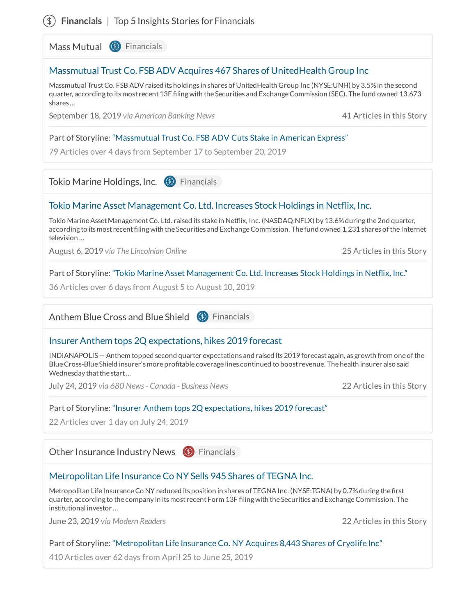# **Financials** | Top 5 Insights Stories for Financials

Mass Mutual <sup>(16</sup>) Financials

# Massmutual Trust Co. FSBADV Acquires 467 Shares of [UnitedHealth](https://client.manzama.com/article/v/25550890405/159019?usrc=signals_view) Group Inc

Massmutual TrustCo. FSB ADVraised its holdings in shares of UnitedHealth Group Inc (NYSE:UNH) by 3.5%in the second quarter, according to its most recent 13F filing with the Securities and Exchange Commission (SEC). The fund owned 13,673 shares ...

September 18, 2019 *via American Banking News* 41 Articles in this Story

#### Part of Storyline: ["Massmutual](https://insights.manzama.com/storylines/12647173/) Trust Co. FSB ADV Cuts Stake in American Express"

79 Articles over 4 days from September 17 to September 20, 2019

Tokio Marine Holdings, Inc. **(9)** Financials

# Tokio Marine Asset Management Co. Ltd. Increases Stock Holdings in Netflix, Inc.

Tokio Marine Asset Management Co. Ltd. raised its stake in Netflix, Inc. (NASDAQ:NFLX) by 13.6% during the 2nd quarter, according to its most recent filing with the Securities and Exchange Commission. The fund owned 1,231 shares of the Internet television ...

August 6, 2019 *via The Lincolnian Online* 25 Articles in this Story

Part of Storyline: "Tokio Marine Asset [Management](https://insights.manzama.com/storylines/12439566/) Co. Ltd. Increases Stock Holdings in Netflix, Inc."

36 Articles over 6 days from August 5 to August 10, 2019

Anthem Blue Cross and Blue Shield (9) Financials

# [InsurerAnthem](https://client.manzama.com/article/v/25518937890/159019?usrc=signals_view) tops 2Q expectations, hikes 2019 forecast

INDIANAPOLIS— Anthem topped second quarter expectations and raised its 2019 forecast again, as growth from one ofthe Blue Cross-Blue Shield insurer's more profitable coverage lines continued to boost revenue. The health insurer also said Wednesday that the start...

July 24, 2019 *via 680 News- Canada - Business News* 22 Articles in this Story

#### Part of Storyline: "Insurer Anthem tops 2Q [expectations,](https://insights.manzama.com/storylines/12385221/) hikes 2019 forecast"

22 Articles over 1 day on July 24, 2019

Other Insurance Industry News (9) Financials

# [Metropolitan](https://client.manzama.com/article/v/25504084372/159019?usrc=signals_view) Life Insurance Co NY Sells 945 Shares of TEGNA Inc.

Metropolitan Life Insurance Co NY reduced its position in shares of TEGNA Inc. (NYSE:TGNA) by 0.7% during the first quarter, according to the company in its most recent Form 13F filing with the Securities and Exchange Commission. The institutional investor ...

June 23, 2019 *via Modern Readers* 22 Articles in this Story

#### Part of Storyline: ["Metropolitan](https://insights.manzama.com/storylines/12129919/) Life Insurance Co. NY Acquires 8,443 Shares of Cryolife Inc"

410 Articles over 62 days from April 25 to June 25, 2019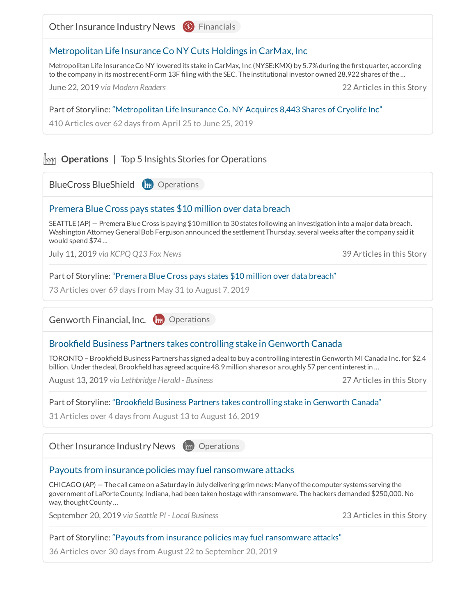Other Insurance Industry News <sup>(16</sup>) Financials [Metropolitan](https://client.manzama.com/article/v/25503731731/159019?usrc=signals_view) Life Insurance Co NY Cuts Holdings in CarMax, Inc Metropolitan Life Insurance Co NY lowered its stake in CarMax, Inc (NYSE:KMX) by 5.7% during the first quarter, according to the company in its most recent Form 13F filing with the SEC. The institutional investor owned 28,922 shares of the ... June 22, 2019 *via Modern Readers* 22 Articles in this Story Part of Storyline: ["Metropolitan](https://insights.manzama.com/storylines/12129919/) Life Insurance Co. NY Acquires 8,443 Shares of Cryolife Inc" 410 Articles over 62 days from April 25 to June 25, 2019 **IMM** Operations | Top 5 Insights Stories for Operations **BlueCross BlueShield** (**m**) Operations Premera [BlueCross](https://client.manzama.com/article/v/25512609083/159019?usrc=signals_view) pays states \$10 million over data breach SEATTLE (AP) — PremeraBlueCross is paying \$10 million to 30 states following an investigation into a major data breach. Washington Attorney General Bob Ferguson announced the settlement Thursday, several weeks after the company said it would spend \$74 ... July 11, 2019 *via KCPQ Q13 Fox News* 39 Articles in this Story Part of Storyline: ["Premera](https://insights.manzama.com/storylines/12123677/) Blue Cross pays states \$10 million over data breach" 73 Articles over 69 days from May 31 to August 7, 2019 Genworth Financial, Inc. (1888) Operations Brookfield Business Partners takes [controlling](https://client.manzama.com/article/v/25529592150/159019?usrc=signals_view) stake in Genworth Canada TORONTO - Brookfield Business Partners has signed a deal to buy a controlling interest in Genworth MI Canada Inc. for \$2.4 billion. Under the deal, Brookfield has agreed acquire 48.9 million shares or a roughly 57 per cent interest in ... August 13, 2019 *via Lethbridge Herald - Business* 27 Articles in this Story Part of Storyline: "Brookfield Business Partners takes controlling stake in Genworth Canada" 31 Articles over 4 days from August 13 to August 16, 2019 Other Insurance Industry News (m) Operations Payouts from insurance policies may fuel [ransomware](https://client.manzama.com/article/v/25552102655/159019?usrc=signals_view) attacks CHICAGO (AP) — The call came on a Saturday in July delivering grim news: Many ofthe computer systems serving the government of LaPorte County, Indiana, had been taken hostage with ransomware. The hackers demanded \$250,000. No way, thought County ... September 20, 2019 *via Seattle PI - Local Business* 23 Articles in this Story Part of Storyline: "Payouts from insurance policies may fuel [ransomware](https://insights.manzama.com/storylines/12537553/) attacks" 36 Articles over 30 days from August 22 to September 20, 2019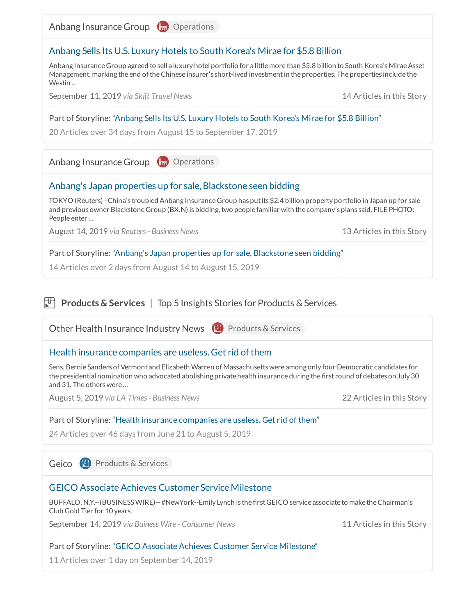Anbang Insurance Group (111) Operations

### [Anbang](https://client.manzama.com/article/v/25546611211/159019?usrc=signals_view) Sells Its U.S. Luxury Hotels to South Korea's Mirae for \$5.8 Billion

Anbang Insurance Group agreed to sell a luxury hotel portfolio for a little more than \$5.8 billion to South Korea's Mirae Asset Management, marking the end oftheChinese insurer's short-lived investmentin the properties. The properties include the Westin ...

September 11, 2019 *via Skift Travel News* 14 Articles in this Story

#### Part of Storyline: ["Anbang](https://insights.manzama.com/storylines/12484178/) Sells Its U.S. Luxury Hotels to South Korea's Mirae for \$5.8 Billion"

20 Articles over 34 days from August 15 to September 17, 2019

Anbang Insurance Group (111) Operations

### Anbang's Japan properties up for sale, [Blackstone](https://client.manzama.com/article/v/25530074803/159019?usrc=signals_view) seen bidding

TOKYO (Reuters) -China's troubled Anbang InsuranceGroup has putits \$2.4 billion property portfolio in Japan up for sale and previous owner BlackstoneGroup (BX.N) is bidding, two people familiar with the company's plans said. FILE PHOTO: People enter ...

August 14, 2019 *via Reuters- Business News* 13 Articles in this Story

#### Part of Storyline: "Anbang's Japan properties up for sale, [Blackstone](https://insights.manzama.com/storylines/12477344/) seen bidding"

14 Articles over 2 days from August 14 to August 15, 2019

# **Products & Services** | Top 5 Insights Stories for Products & Services

Other Health Insurance Industry News **B** Products & Services Health insurance [companies](https://client.manzama.com/article/v/25525363609/159019?usrc=signals_view) are useless. Get rid of them Sens. Bernie Sanders of Vermont and Elizabeth Warren of Massachusetts were among only four Democratic candidates for the presidential nomination who advocated abolishing private health insurance during the first round of debates on July 30 and 31. The otherswere ... August 5, 2019 *via LA Times- Business News* 22 Articles in this Story

#### Part of Storyline: "Health insurance [companies](https://insights.manzama.com/storylines/12222874/) are useless. Get rid of them"

24 Articles over 46 days from June 21 to August 5, 2019

Geico **D** Products & Services

#### GEICO Associate Achieves Customer Service Milestone

BUFFALO, N.Y.--(BUSINESS WIRE)-- #NewYork--Emily Lynch is the first GEICO service associate to make the Chairman's Club Gold Tier for 10 years.

September 14, 2019 *via Buiness Wire - Consumer News* 11 Articles in this Story

#### Part of Storyline: "GEICO Associate Achieves Customer Service [Milestone"](https://insights.manzama.com/storylines/12638341/)

11 Articles over 1 day on September 14, 2019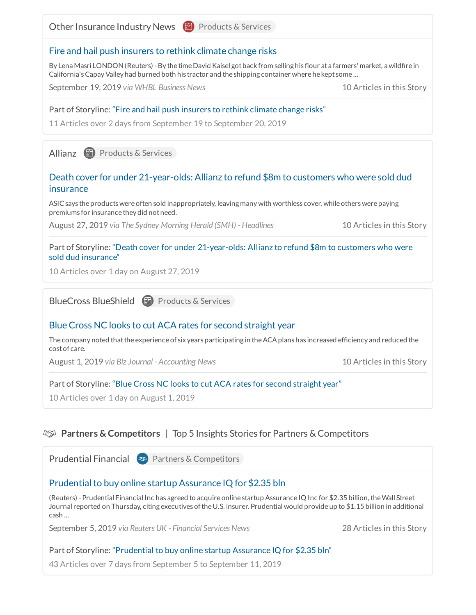

# **Partners & Competitors** | Top 5 Insights Stories for Partners & Competitors

**Prudential Financial ( Partners & Competitors** 

# Prudential to buy online startup Assurance IQ for \$2.35 bln

(Reuters) - Prudential Financial Inc has agreed to acquire online startup Assurance IQ Inc for \$2.35 billion, theWall Street Journal reported on Thursday, citing executives oftheU.S. insurer. Prudential would provide up to \$1.15 billion in additional cash ...

September 5, 2019 *via Reuters UK - Financial Services News* 28 Articles in this Story

# Part of Storyline: ["Prudential](https://insights.manzama.com/storylines/12600742/) to buy online startup Assurance IQ for \$2.35 bln"

43 Articles over 7 days from September 5 to September 11, 2019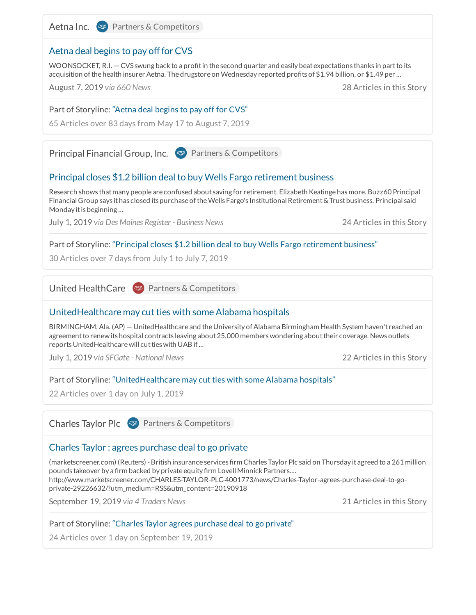

Aetna Inc. (
<sup>23</sup> Partners & Competitors

# Aetna deal begins to pay off for CVS

WOONSOCKET, R.I.  $-$  CVS swung back to a profit in the second quarter and easily beat expectations thanks in part to its acquisition of the health insurer Aetna. The drugstore on Wednesday reported profits of \$1.94 billion, or \$1.49 per ...

August 7, 2019 *via 660 News* 28 Articles in this Story

#### Part of Storyline: ["Aetna](https://insights.manzama.com/storylines/12080471/) deal begins to pay off for CVS"

65 Articles over 83 days from May 17 to August 7, 2019

Principal Financial Group, Inc. (  $\bullet$  Partners & Competitors

# Principal closes \$1.2 billion deal to buy Wells Fargo [retirement](https://client.manzama.com/article/v/25508008093/159019?usrc=signals_view) business

Research shows thatmany people are confused about saving for retirement. Elizabeth Keatinge has more. Buzz60 Principal Financial Group says ithas closed its purchase oftheWells Fargo's InstitutionalRetirement&Trustbusiness. Principal said Monday it is beginning ...

July 1, 2019 *via Des Moines Register - Business News* 24 Articles in this Story

#### Part of Storyline: "Principal closes \$1.2 billion deal to buy Wells Fargo [retirement](https://insights.manzama.com/storylines/12260338/) business"

30 Articles over 7 days from July 1 to July 7, 2019

United HealthCare (  $\sqrt{2}$  Partners & Competitors

### [UnitedHealthcare](https://client.manzama.com/article/v/25507884134/159019?usrc=signals_view) may cut ties with some Alabama hospitals

BIRMINGHAM, Ala. (AP) — UnitedHealthcare and the University of Alabama Birmingham Health System haven't reached an agreement to renew its hospital contracts leaving about 25,000 members wondering about their coverage. News outlets reports UnitedHealthcare will cut ties with UAB if...

July 1, 2019 *via SFGate - National News* 22 Articles in this Story

#### Part of Storyline: ["UnitedHealthcare](https://insights.manzama.com/storylines/12256189/) may cut ties with some Alabama hospitals"

22 Articles over 1 day on July 1, 2019

Charles Taylor Plc (Southers & Competitors

# Charles Taylor : agrees [purchase](https://client.manzama.com/article/v/25551081940/159019?usrc=signals_view) deal to go private

(marketscreener.com) (Reuters) - British insurance services firm Charles Taylor Plc said on Thursday it agreed to a 261 million pounds takeover by a firm backed by private equity firm Lovell Minnick Partners.... http://www.marketscreener.com/CHARLES-TAYLOR-PLC-4001773/news/Charles-Taylor-agrees-purchase-deal-to-goprivate-29226632/?utm\_medium=RSS&utm\_content=20190918

September 19, 2019 *via 4 Traders News* 21 Articles in this Story

#### Part of Storyline: "Charles Taylor agrees [purchase](https://insights.manzama.com/storylines/12653854/) deal to go private"

24 Articles over 1 day on September 19, 2019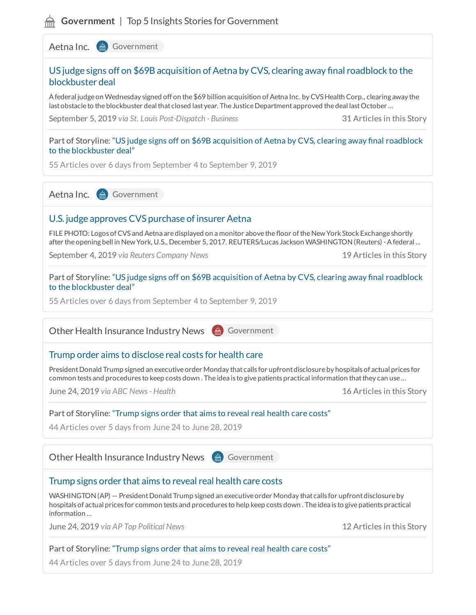# **Government** | Top 5 Insights Stories for Government

Aetna Inc. (d) Government

# US judge signs off on \$69B acquisition of Aetna by CVS, clearing away final roadblock to the [blockbuster](https://client.manzama.com/article/v/25543276380/159019?usrc=signals_view) deal

A federal judge on Wednesday signed off on the \$69 billion acquisition of Aetna Inc. by CVS Health Corp., clearing away the last obstacle to the blockbuster deal that closed last year. The Justice Department approved the deal last October ...

September 5, 2019 *via St. Louis Post-Dispatch - Business* 31 Articles in this Story

Part of Storyline: "US judge signs off on \$69B acquisition of Aetna by CVS, clearing away final roadblock to the [blockbuster](https://insights.manzama.com/storylines/12596496/) deal"

55 Articles over 6 days from September 4 to September 9, 2019

Aetna Inc. (d) Government

### U.S. judge approves CVS purchase of insurer Aetna

FILE PHOTO: Logos of CVS and Aetna are displayed on a monitor above the floor of the New York Stock Exchange shortly after the opening bell in New York, U.S., December 5, 2017. REUTERS/Lucas Jackson WASHINGTON (Reuters) - A federal ...

September 4, 2019 *via Reuters Company News* 19 Articles in this Story

Part of Storyline: "US judge signs off on \$69B acquisition of Aetna by CVS, clearing away final roadblock to the [blockbuster](https://insights.manzama.com/storylines/12596496/) deal"

55 Articles over 6 days from September 4 to September 9, 2019

Other Health Insurance Industry News (a) Government

# Trump order aims to [disclose](https://client.manzama.com/article/v/25504748691/159019?usrc=signals_view) real costs for health care

President Donald Trump signed an executive order Monday that calls for upfront disclosure by hospitals of actual prices for common tests and procedures to keep costs down. The idea is to give patients practical information that they can use ...

June 24, 2019 *via ABC News- Health* 16 Articles in this Story

#### Part of Storyline: ["Trump](https://insights.manzama.com/storylines/12226774/) signs order that aims to reveal real health care costs"

44 Articles over 5 days from June 24 to June 28, 2019

Other Health Insurance Industry News (a) Government

#### [Trump](https://client.manzama.com/article/v/25504790255/159019?usrc=signals_view) signs order that aims to reveal real health care costs

WASHINGTON (AP) – President Donald Trump signed an executive order Monday that calls for upfront disclosure by hospitals of actual prices for common tests and procedures to help keep costs down . The idea is to give patients practical information ...

June 24, 2019 *via AP Top Political News* 12 Articles in this Story

#### Part of Storyline: ["Trump](https://insights.manzama.com/storylines/12226774/) signs order that aims to reveal real health care costs"

44 Articles over 5 days from June 24 to June 28, 2019